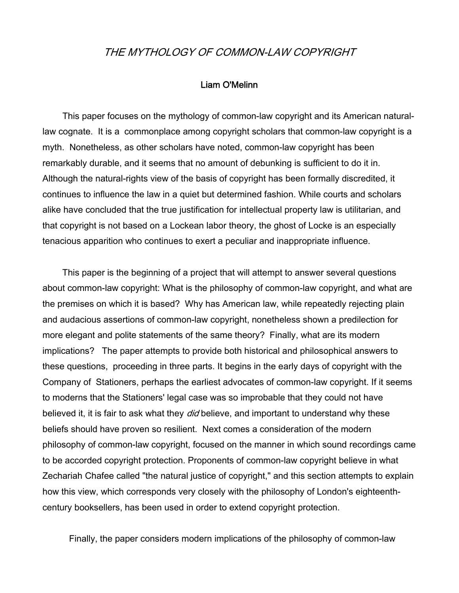## THE MYTHOLOGY OF COMMON-LAW COPYRIGHT

## Liam O'Melinn

 This paper focuses on the mythology of common-law copyright and its American naturallaw cognate. It is a commonplace among copyright scholars that common-law copyright is a myth. Nonetheless, as other scholars have noted, common-law copyright has been remarkably durable, and it seems that no amount of debunking is sufficient to do it in. Although the natural-rights view of the basis of copyright has been formally discredited, it continues to influence the law in a quiet but determined fashion. While courts and scholars alike have concluded that the true justification for intellectual property law is utilitarian, and that copyright is not based on a Lockean labor theory, the ghost of Locke is an especially tenacious apparition who continues to exert a peculiar and inappropriate influence.

 This paper is the beginning of a project that will attempt to answer several questions about common-law copyright: What is the philosophy of common-law copyright, and what are the premises on which it is based? Why has American law, while repeatedly rejecting plain and audacious assertions of common-law copyright, nonetheless shown a predilection for more elegant and polite statements of the same theory? Finally, what are its modern implications? The paper attempts to provide both historical and philosophical answers to these questions, proceeding in three parts. It begins in the early days of copyright with the Company of Stationers, perhaps the earliest advocates of common-law copyright. If it seems to moderns that the Stationers' legal case was so improbable that they could not have believed it, it is fair to ask what they *did* believe, and important to understand why these beliefs should have proven so resilient. Next comes a consideration of the modern philosophy of common-law copyright, focused on the manner in which sound recordings came to be accorded copyright protection. Proponents of common-law copyright believe in what Zechariah Chafee called "the natural justice of copyright," and this section attempts to explain how this view, which corresponds very closely with the philosophy of London's eighteenthcentury booksellers, has been used in order to extend copyright protection.

Finally, the paper considers modern implications of the philosophy of common-law